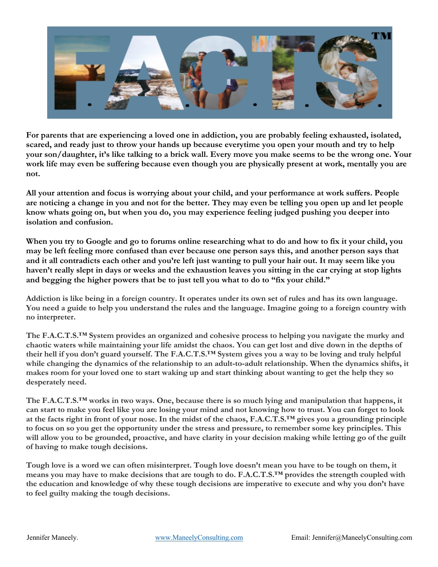

**For parents that are experiencing a loved one in addiction, you are probably feeling exhausted, isolated, scared, and ready just to throw your hands up because everytime you open your mouth and try to help your son/daughter, it's like talking to a brick wall. Every move you make seems to be the wrong one. Your work life may even be suffering because even though you are physically present at work, mentally you are not.** 

**All your attention and focus is worrying about your child, and your performance at work suffers. People are noticing a change in you and not for the better. They may even be telling you open up and let people know whats going on, but when you do, you may experience feeling judged pushing you deeper into isolation and confusion.** 

**When you try to Google and go to forums online researching what to do and how to fix it your child, you may be left feeling more confused than ever because one person says this, and another person says that and it all contradicts each other and you're left just wanting to pull your hair out. It may seem like you haven't really slept in days or weeks and the exhaustion leaves you sitting in the car crying at stop lights and begging the higher powers that be to just tell you what to do to "fix your child."**

Addiction is like being in a foreign country. It operates under its own set of rules and has its own language. You need a guide to help you understand the rules and the language. Imagine going to a foreign country with **no interpreter.**

**The F.A.C.T.S.™ System provides an organized and cohesive process to helping you navigate the murky and** chaotic waters while maintaining your life amidst the chaos. You can get lost and dive down in the depths of their hell if you don't guard yourself. The F.A.C.T.S.<sup>TM</sup> System gives you a way to be loving and truly helpful **while changing the dynamics of the relationship to an adult-to-adult relationship. When the dynamics shifts, it** makes room for your loved one to start waking up and start thinking about wanting to get the help they so **desperately need.**

The F.A.C.T.S.<sup>TM</sup> works in two ways. One, because there is so much lying and manipulation that happens, it can start to make you feel like you are losing your mind and not knowing how to trust. You can forget to look at the facts right in front of your nose. In the midst of the chaos, F.A.C.T.S.<sup>TM</sup> gives you a grounding principle to focus on so you get the opportunity under the stress and pressure, to remember some key principles. This will allow you to be grounded, proactive, and have clarity in your decision making while letting go of the guilt **of having to make tough decisions.**

Tough love is a word we can often misinterpret. Tough love doesn't mean you have to be tough on them, it means you may have to make decisions that are tough to do. F.A.C.T.S.<sup>TM</sup> provides the strength coupled with the education and knowledge of why these tough decisions are imperative to execute and why you don't have **to feel guilty making the tough decisions.**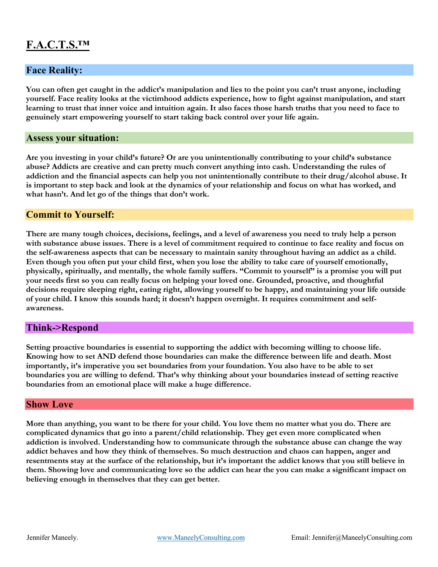# **F.A.C.T.S.™**

# **Face Reality:**

**You can often get caught in the addict's manipulation and lies to the point you can't trust anyone, including yourself. Face reality looks at the victimhood addicts experience, how to fight against manipulation, and start learning to trust that inner voice and intuition again. It also faces those harsh truths that you need to face to genuinely start empowering yourself to start taking back control over your life again.** 

### **Assess your situation:**

**Are you investing in your child's future? Or are you unintentionally contributing to your child's substance abuse? Addicts are creative and can pretty much convert anything into cash. Understanding the rules of addiction and the financial aspects can help you not unintentionally contribute to their drug/alcohol abuse. It is important to step back and look at the dynamics of your relationship and focus on what has worked, and what hasn't. And let go of the things that don't work.** 

## **Commit to Yourself:**

**There are many tough choices, decisions, feelings, and a level of awareness you need to truly help a person with substance abuse issues. There is a level of commitment required to continue to face reality and focus on the self-awareness aspects that can be necessary to maintain sanity throughout having an addict as a child. Even though you often put your child first, when you lose the ability to take care of yourself emotionally, physically, spiritually, and mentally, the whole family suffers. "Commit to yourself" is a promise you will put your needs first so you can really focus on helping your loved one. Grounded, proactive, and thoughtful decisions require sleeping right, eating right, allowing yourself to be happy, and maintaining your life outside of your child. I know this sounds hard; it doesn't happen overnight. It requires commitment and selfawareness.**

# **Think->Respond**

**Setting proactive boundaries is essential to supporting the addict with becoming willing to choose life. Knowing how to set AND defend those boundaries can make the difference between life and death. Most importantly, it's imperative you set boundaries from your foundation. You also have to be able to set boundaries you are willing to defend. That's why thinking about your boundaries instead of setting reactive boundaries from an emotional place will make a huge difference.** 

#### **Show Love**

**More than anything, you want to be there for your child. You love them no matter what you do. There are complicated dynamics that go into a parent/child relationship. They get even more complicated when addiction is involved. Understanding how to communicate through the substance abuse can change the way addict behaves and how they think of themselves. So much destruction and chaos can happen, anger and resentments stay at the surface of the relationship, but it's important the addict knows that you still believe in them. Showing love and communicating love so the addict can hear the you can make a significant impact on believing enough in themselves that they can get better.**